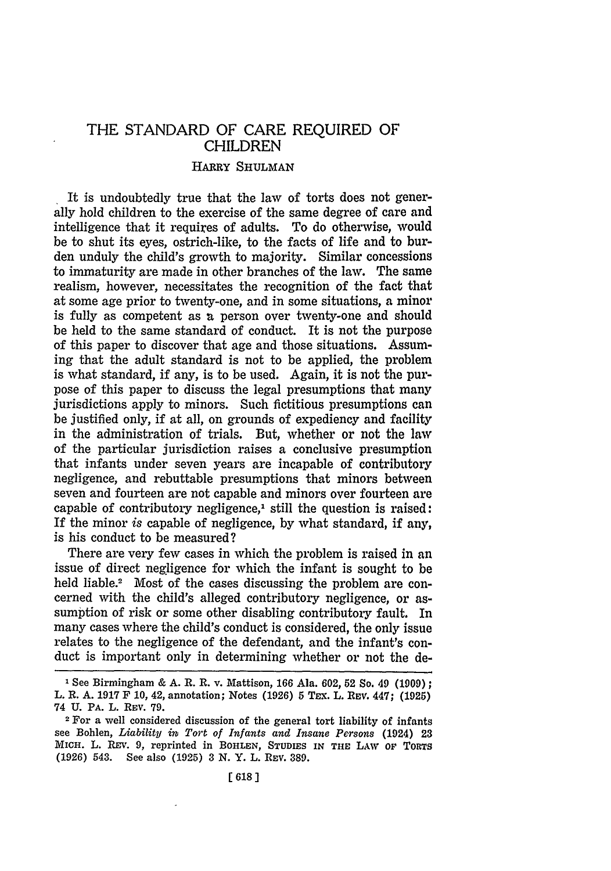## THE STANDARD OF CARE REQUIRED OF CHILDREN HARRY **SHULMAN**

It is undoubtedly true that the law of torts does not generally hold children to the exercise of the same degree of care and intelligence that it requires of adults. To do otherwise, would be to shut its eyes, ostrich-like, to the facts of life and to burden unduly the child's growth to majority. Similar concessions to immaturity are made in other branches of the law. The same realism, however, necessitates the recognition of the fact that at some age prior to twenty-one, and in some situations, a minor is fully as competent as a person over twenty-one and should be held to the same standard of conduct. It is not the purpose of this paper to discover that age and those situations. Assuming that the adult standard is not to be applied, the problem is what standard, if any, is to be used. Again, it is not the purpose of this paper to discuss the legal presumptions that many jurisdictions apply to minors. Such fictitious presumptions can be justified only, if at all, on grounds of expediency and facility in the administration of trials. But, whether or not the law of the particular jurisdiction raises a conclusive presumption that infants under seven years are incapable of contributory negligence, and rebuttable presumptions that minors between seven and fourteen are not capable and minors over fourteen are capable of contributory negligence,<sup>1</sup> still the question is raised: If the minor *is* capable of negligence, by what standard, if any, is his conduct to be measured?

There are very few cases in which the problem is raised in an issue of direct negligence for which the infant is sought to be held liable.<sup>2</sup> Most of the cases discussing the problem are concerned with the child's alleged contributory negligence, or assumption of risk or some other disabling contributory fault. In many cases where the child's conduct is considered, the only issue relates to the negligence of the defendant, and the infant's conduct is important only in determining whether or not the de-

**<sup>1</sup>** See Birmingham & A. **R.** R. v. Mattison, 166 Ala. 602, **52** So. **49 (1909);** L. R. A. 1917 F *10,* 42, annotation; Notes (1926) **5** Tax. L. REv. 447; **(1925)** 74 U. PA. L. REV. 79. 2  $\frac{1}{2}$  For a well considered discussion of the general tort liability of infants

see Bohlen, *Liability in Tort of Infants and Insane Persons* (1924) **23** MICH. L. REV. 9, reprinted in BOHLEN, STUDIES IN THE LAW OF TORTS (1926) 543. See also (1925) 3 N. Y. L. Rav. 389.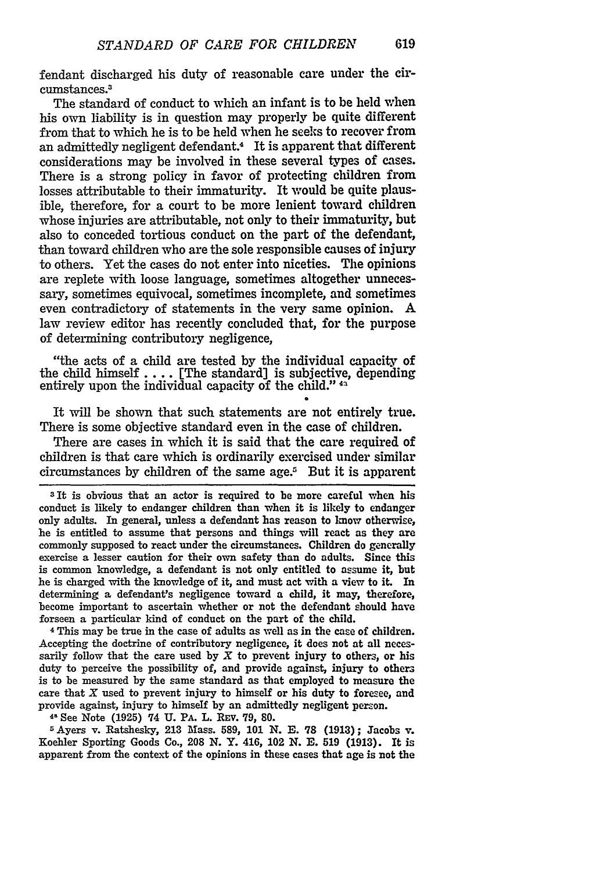fendant discharged his duty of reasonable care under the circumstances.<sup>3</sup>

The standard of conduct to which an infant is to be held when his own liability is in question may properly be quite different from that to which he is to be held when he seeks to recover from an admittedly negligent defendant.4 It is apparent that different considerations may be involved in these several types of cases. There is a strong policy in favor of protecting children from losses attributable to their immaturity. It would be quite plausible, therefore, for a court to be more lenient toward children whose injuries are attributable, not only to their immaturity, but also to conceded tortious conduct on the part of the defendant, than toward children who are the sole responsible causes of injury to others. Yet the cases do not enter into niceties. The opinions are replete with loose language, sometimes altogether unnecessary, sometimes equivocal, sometimes incomplete, and sometimes even contradictory of statements in the very same opinion. **A** law review editor has recently concluded that, for the purpose of determining contributory negligence,

"the acts of a child are tested by the individual capacity of the child himself .... [The standard] is subjective, depending entirely upon the individual capacity of the child." 42

It will be shown that such statements are not entirely true. There is some objective standard even in the case of children.

There are cases in which it is said that the care required of children is that care which is ordinarily exercised under similar circumstances by children of the same age.5 But it is apparent

<sup>3</sup>It is obvious that an actor is required to be more careful when his conduct is likely to endanger children than when it is likely to endanger only adults. In general, unless a defendant has reason to know otherwise, he is entitled to assume that persons and things will react as they are commonly supposed to react under the circumstances. Children do generally exercise a lesser caution for their own safety than do adults. Since this is common knowledge, a defendant is not only entitled to assume it, but he is charged with the knowledge of it, and must act with a view to **it.** In determining a defendant's negligence toward a child, it may, therefore, become important to ascertain whether or not the defendant should have forseen a particular kind of conduct on the part of the child. 4 This may be true in the case of adults as well as in the case of children.

Accepting the doctrine of contributory negligence, it does not at all necessarily follow that the care used by  $X$  to prevent injury to others, or his duty to perceive the possibility of, and provide against, injury to others is to be measured by the same standard as that employed to measure the care that  $X$  used to prevent injury to himself or his duty to foresee, and provide against, injury to himself by an admittedly negligent person.

41 See Note (1925) 74 U. PA. L. **REv. 79, 80.**

5 Ayers v. Ratshesky, **213** Mass. **589, 101 N. E. 78 (1913);** Jacobs v. Koehler Sporting Goods Co., 208 **N.** Y. 416, 102 **N. E. 519 (1913).** It is apparent from the context of the opinions in these cases that age is not the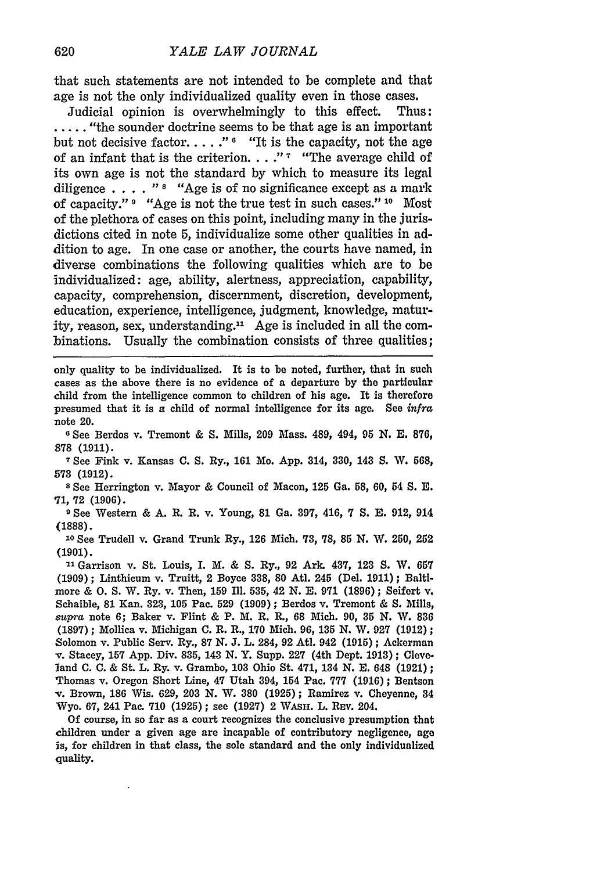that such statements are not intended to be complete and that age is not the only individualized quality even in those cases.

Judicial opinion is overwhelmingly to this effect. Thus: **...** "the sounder doctrine seems to be that age is an important but not decisive factor....."<sup>6</sup> "It is the capacity, not the age of an infant that is the criterion. . **. ." "** "The average child of its own age is not the standard by which to measure its legal diligence .**. .** . **.. 1** "Age is of no significance except as a mark of capacity." **9** "Age is not the true test in such cases." **10** Most of the plethora of cases on this point, including many in the jurisdictions cited in note 5, individualize some other qualities in addition to age. In one case or another, the courts have named, in diverse combinations the following qualities which are to be individualized: age, ability, alertness, appreciation, capability, capacity, comprehension, discernment, discretion, development, education, experience, intelligence, judgment, knowledge, maturity, reason, sex, understanding.<sup>11</sup> Age is included in all the combinations. Usually the combination consists of three qualities;

only quality to be individualized. It is to be noted, further, that in such cases as the above there is no evidence of a departure **by** the particular child from the intelligence common to children of his age. It is therefore presumed that it is a child of normal intelligence for its age. See *infras* note 20.

**6** See Berdos v. Tremont **& S.** Mills, **209** Mass. 489, 494, 95 *N.* **E. 876, 878 (1911).**

**<sup>7</sup>**See Fink v. Kansas **C. S.** Ry., **161** Mo. **App.** 314, **330,** 143 **S.** W. 568, **573 (1912).**

**<sup>s</sup>**See Herrington v. Mayor **&** Council of Macon, **125** Ga. **58, 60,** 54 **S. E. 11, 72 (1906).**

**9** See Western & **A. R. R.** v. Young, **81** Ga. **397,** 416, **7 S. E. 912,** 914 (1888).

**<sup>10</sup>**See Trudell v. Grand Trunk Ry., **126** Mich. **73, 78, 85 N.** W. 250, 252 **(1901).**

**"1** Garrison v. St. Louis, I. M. & **S.** Ry., 92 Ark. 437, **123 S.** W. **657** (1909); Linthicum v. Truitt, 2 Boyce **338, 80** Atl. 245 (Del. 1911); Baltimore & *0.* S. W. **Ry.** v. Then, **159** Ill. 535, 42 **N. E. 971 (1896);** Seifert **v.** Schaible, **81** Kan. 323, **105** Pac. **529** (1909); Berdos v. Tremont & **S.** Mills, *supra* note 6; Baker v. Flint & P. M. **R. R., 68** Mich. 90, **35** *N.* W. **836** (1897) ; Mollica v. Michigan **C.** R. R., **170** Mich. 96, **135** *N.* W. **927** (1912) **;** Solomon v. Public Serv. Ry., **87** *N.* **J.** L. 284, **92** Atl. 942 (1915); Ackerman v. Stacey, **157** App. Div. 835, 143 **N.** Y. Supp. **227** (4th Dept. 1913) ; Cleveland **C. C.** & St. L. Ry. v. Grambo, **103** Ohio St. 471, 134 **N. E.** 648 (1921) **;** Thomas v. Oregon Short Line, 47 Utah 394, 154 Pac. 777 (1916); Bentson v. Brown, **186** Wis. 629, 203 **N.** W. **380 (1925);** Ramirez v. Cheyenne, 34 Vyo. **67,** 241 Pac. **710 (1925);** see (1927) 2 WASH. L. **REv.** 204.

Of course, in so far as a court recognizes the conclusive presumption that children under a given age are incapable of contributory negligence, age is, for children in that class, the sole standard and the only individualized quality.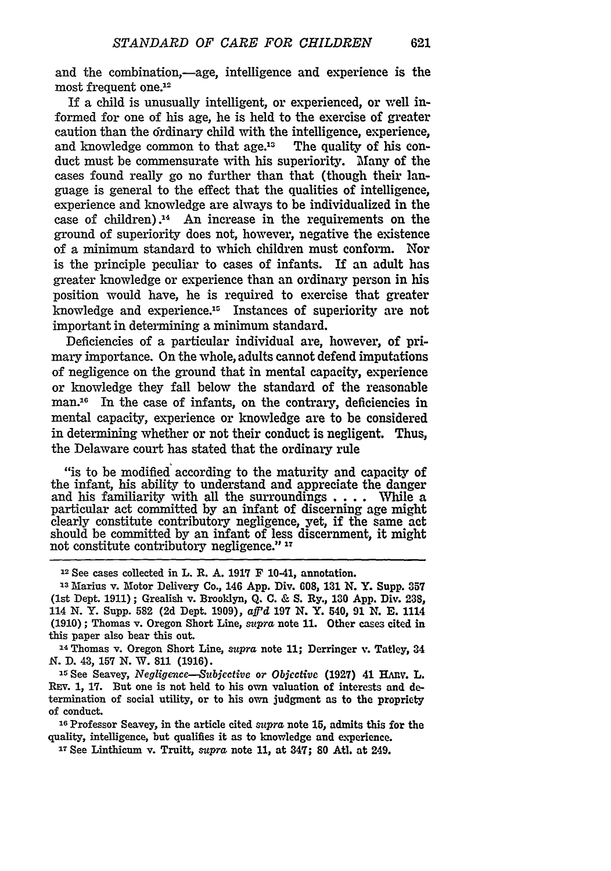and the combination,—age, intelligence and experience is the most frequent one.<sup>12</sup>

If a child is unusually intelligent, or experienced, or well informed for one of his age, he is held to the exercise of greater caution than the 6rdinary child with the intelligence, experience, and knowledge common to that age.<sup>13</sup> The quality of his conduct must be commensurate with his superiority. Many of the cases found really go no further than that (though their language is general to the effect that the qualities of intelligence, experience and knowledge are always to be individualized in the case of children). $<sup>14</sup>$  An increase in the requirements on the</sup> ground of superiority does not, however, negative the existence of a minimum standard to which children must conform. Nor is the principle peculiar to cases of infants. If an adult has greater knowledge or experience than an ordinary person in his position would have, he is required to exercise that greater knowledge and experience.<sup>15</sup> Instances of superiority are not important in determining a minimum standard.

Deficiencies of a particular individual are, however, of primary importance. On the whole, adults cannot defend imputations of negligence on the ground that in mental capacity, experience or knowledge they fall below the standard of the reasonable man.16 In the case of infants, on the contrary, deficiencies in mental capacity, experience or knowledge are to be considered in determining whether or not their conduct is negligent. Thus, the Delaware court has stated that the ordinary rule

"is to be modified according to the maturity and capacity of the infant, his ability to understand and appreciate the danger and his familiarity with all the surroundings . **.** . While a particular act committed by an infant of discerning age might clearly constitute contributory negligence, yet, if the same act should be committed by an infant of less discernment, it might not constitute contributory negligence." **1?**

**<sup>12</sup>**See cases collected in L. R. A. **1917** F 1041, annotation.

**<sup>13</sup>**Marius v. Motor Delivery Co., 146 App. Div. 608, **131** N. Y. Supp. **357** (1st Dept. **1911);** Grealish v. Brooklyn, Q. **C.** & **S.** Ry., **130** App. Div. 238, 114 N. Y. Supp. **582** (2d Dept. 1909), *aff'd* 197 N. Y. 540, 91 N. **B.** 1114 **(1910);** Thomas v. Oregon Short Line, supra note **11.** Other cases cited in **this** paper also bear this out.

**<sup>14</sup>**Thomas v. Oregon Short Line, *supra* note **11;** Derringer **v.** Tatley, 34 *N.* **D.** 43, **157** *N.* W. **811 (1916).**

**<sup>15</sup>**See Seavey, *Negligence-Subjective* or *Objective* (1927) 41 HAnv. L. REv. 1, **17.** But one is not held to his own valuation of interests and determination of social utility, or to his own judgment as to the propriety of conduct.

**<sup>36</sup>**Professor Seavey, in the article cited *supra* note **15,** admits this for the quality, intelligence, but qualifies it as to knowledge and experience.

**17** See Linthicum v. Truitt, *supra* note 11, at 347; **80** Atl. at 249.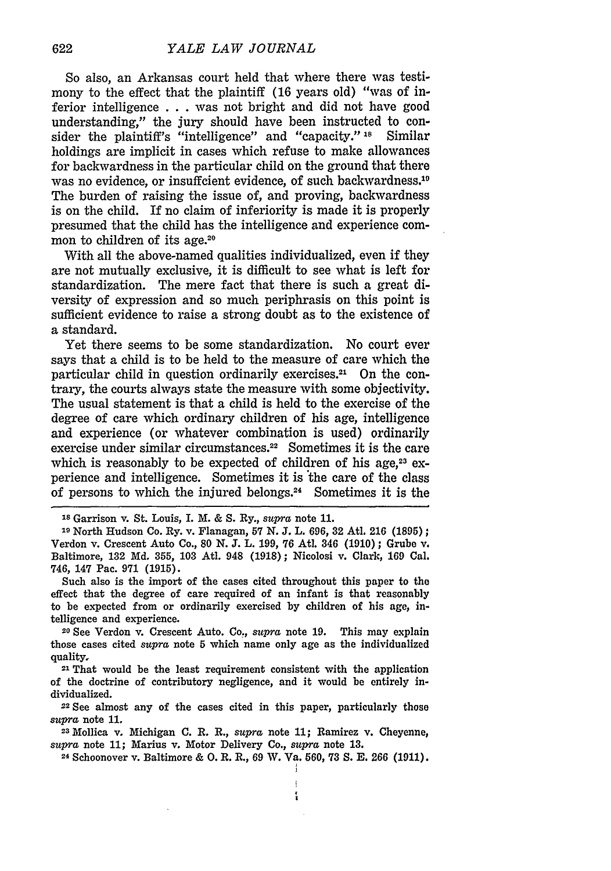So also, an Arkansas court held that where there was testimony to the effect that the plaintiff (16 years old) "was of inferior intelligence . . . was not bright and did not have good understanding," the jury should have been instructed to con-<br>sider the plaintiff's "intelligence" and "capacity."<sup>18</sup> Similar sider the plaintiff's "intelligence" and "capacity."  $18$ holdings are implicit in cases which refuse to make allowances for backwardness in the particular child on the ground that there was no evidence, or insufficient evidence, of such backwardness.<sup>10</sup> The burden of raising the issue of, and proving, backwardness is on the child. If no claim of inferiority is made it is properly presumed that the child has the intelligence and experience common to children of its age.20

With all the above-named qualities individualized, even if they are not mutually exclusive, it is difficult to see what is left for standardization. The mere fact that there is such a great diversity of expression and so much periphrasis on this point is sufficient evidence to raise a strong doubt as to the existence of a standard.

Yet there seems to be some standardization. No court ever says that a child is to be held to the measure of care which the particular child in question ordinarily exercises.<sup>21</sup> On the contrary, the courts always state the measure with some objectivity. The usual statement is that a child is held to the exercise of the degree of care which ordinary children of his age, intelligence and experience (or whatever combination is used) ordinarily exercise under similar circumstances.<sup>22</sup> Sometimes it is the care which is reasonably to be expected of children of his age, $23$  experience and intelligence. Sometimes it is the care of the class of persons to which the injured belongs.24 Sometimes it is the

**<sup>18</sup>**Garrison v. St. Louis, I. M. & S. Ry., *supra* note 11.

**<sup>19</sup>**North Hudson Co. Ry. v. Flanagan, **57** *N.* **J.** L. 696, **32** Atl. 216 (1895); Verdon v. Crescent Auto Co., **80** N. *J.* L. 199, **76** At]. 346 (1910); Grube v. Baltimore, 132 **Md.** 355, **103** Atl. 948 (1918); Nicolosi v. Clark, 169 Cal. 746, 147 Pac. **971 (1915).**

Such also is the import of the cases cited throughout this paper to the effect that the degree of care required of an infant is that reasonably to be expected from or ordinarily exercised **by** children of his age, intelligence and experience.

**<sup>20</sup>**See Verdon v. Crescent Auto. Co., *supra* note **19.** This may explain those cases cited *supra* note **5** which name only age as the individualized quality.

**<sup>21</sup>**That would be the least requirement consistent with the application of the doctrine of contributory negligence, and it would **be** entirely individualized.

**<sup>22</sup>**See almost any of the cases cited in this paper, particularly those *supra* note 11.

23Mollica v. Michigan **C.** R. R., *supra* note **11;** Ramirez v. Cheyenne, *supra* note **11;** Marius v. Motor Delivery Co., *supra* note **13.**

24 Schoonover v. Baltimore **& 0. R. R., 69** W. Va. **560, 73 S. E.** 266 **(1911).** <sup>i</sup>

ţ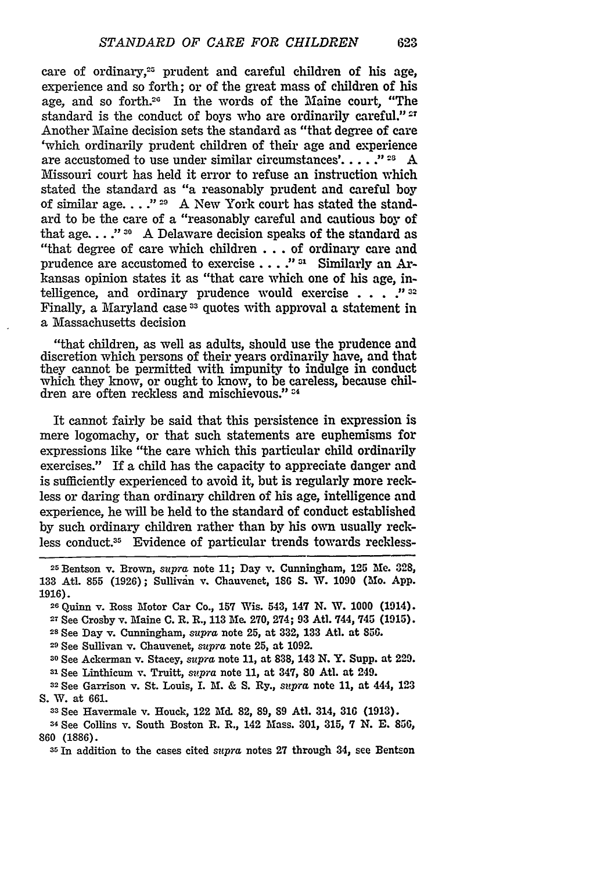623

care of ordinary, $25$  prudent and careful children of his age, experience and so forth; or of the great mass of children of his age, and so forth.<sup>26</sup> In the words of the Maine court, "The standard is the conduct of boys who are ordinarily careful."<sup>27</sup> Another Maine decision sets the standard as "that degree of care 'which ordinarily prudent children of their age and experience are accustomed to use under similar circumstances'....."<sup>26</sup> A Missouri court has held it error to refuse an instruction which stated the standard as "a reasonably prudent and careful boy of similar age. . . .<sup>" 29</sup> A New York court has stated the standard to be the care of a "reasonably careful and cautious boy of that age....<sup>"30</sup> A Delaware decision speaks of the standard as "that degree of care which children *...* of ordinary care and prudence are accustomed to exercise **. . "1** Similarly an Arkansas opinion states it as "that care which one of his age, intelligence, and ordinary prudence would exercise **. . . "1-3** Finally, a Maryland case<sup>33</sup> quotes with approval a statement in a Massachusetts decision

"that children, as well as adults, should use the prudence and discretion which persons of their years ordinarily have, and that they cannot be permitted with impunity to indulge in conduct which they know, or ought to know, to be careless, because children are often reckless and mischievous." <sup>34</sup>

It cannot fairly be said that this persistence in expression is mere logomachy, or that such statements are euphemisms for expressions like "the care which this particular child ordinarily exercises." If a child has the capacity to appreciate danger and is sufficiently experienced to avoid it, but is regularly more reckless or daring than ordinary children of his age, intelligence and experience, he will be held to the standard of conduct established by such ordinary children rather than by his own usually reckless conduct.35 Evidence of particular trends towards reckless-

- **<sup>30</sup>**See Ackerman v. Stacey, *supra* note **11,** at **838,** 143 **N.** Y. Supp. at 229. **<sup>31</sup>**See Linthicum v. Truitt, *supra* note **11,** at 347, **80 At.** at 249.
- 32 See Garrison v. St. Louis, I. **m. & S.** Ry., supra note **11,** at 444, **123 S.** W. at **661.**
	- **<sup>23</sup>**See Havermale v. Houck, 122 Md. **82,** 89, 89 Atl. 314, **316 (1913).**
- <sup>34</sup>See Collins v. South Boston **R. R.,** 142 Mlass. **301,** 315, **7 N. E. 850,** 860 (1886). **<sup>35</sup>**In addition to the cases cited *supra* notes **27** through 34, see Bentson
	-

<sup>25</sup> Bentson v. Brown, supra note **11;** Day v. Cunningham, **125** Me. **328, 133** Atl. **855 (1926);** Sullivin v. Chauvenet, **180 S.** W. **1090** (Mo. **App. 1916).**

<sup>26</sup> Quinn v. Ross Mlotor Car Co., **157** Wis. 543, 147 **N.** W. **1000** (1914). **<sup>27</sup>**See Crosby v. Blaine **C.** R. **R., 113** Me. 270, 274; **93** Atl. 744, 745 (1915).

**<sup>28</sup>**See Day v. Cunningham, *supra* note 25, at **332, 133** Atl. at **850.**

**<sup>29</sup>**See Sullivan v. Chauvenet, *supra* note 25, at 1092.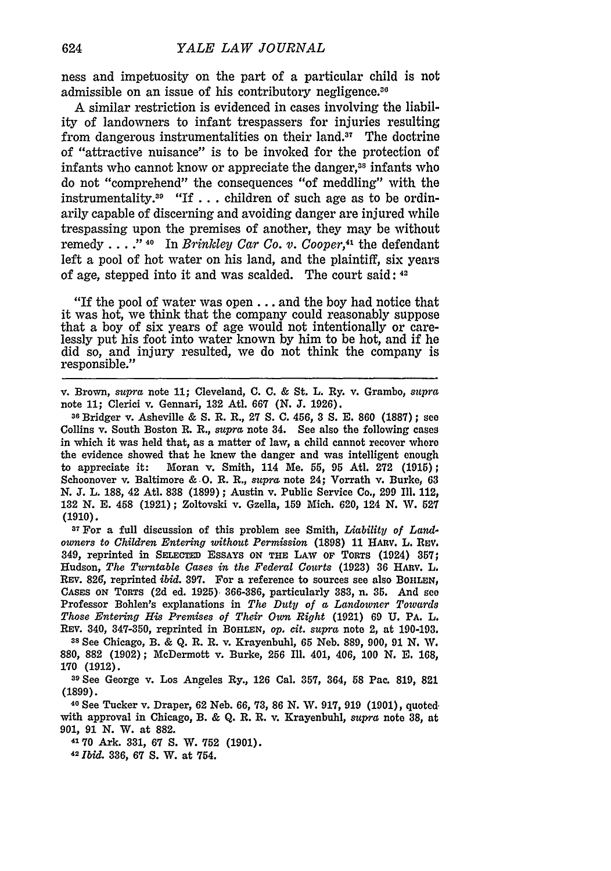ness and impetuosity on the part of a particular child is not admissible on an issue of his contributory negligence.<sup>36</sup>

A similar restriction is evidenced in cases involving the liability of landowners to infant trespassers for injuries resulting from dangerous instrumentalities on their land.<sup>37</sup> The doctrine of "attractive nuisance" is to be invoked for the protection of infants who cannot know or appreciate the danger.<sup>38</sup> infants who do not "comprehend" the consequences "of meddling" with the instrumentality.<sup>39</sup> "If ... children of such age as to be ordinarily capable of discerning and avoiding danger are injured while trespassing upon the premises of another, they may be without remedy . . . ."<sup>40</sup> In *Brinkley Car Co. v. Cooper*,<sup>41</sup> the defendant left a pool of hot water on his land, and the plaintiff, six years of age, stepped into it and was scalded. The court said: **42**

"If the pool of water was open.., and the boy had notice that it was hot, we think that the company could reasonably suppose that a boy of six years of age would not intentionally or carelessly put his foot into water known by him to be hot, and if he did so, and injury resulted, we do not think the company is responsible."

v. Brown, *supra* note **11;** Cleveland, **C. C. &** St. L. **Ry.** v. Grambo, supra note 11; Clerici v. Gennari, **132** Atl. 667 **(N. J.** 1926).

**<sup>36</sup>**Bridger v. Asheville & **S. R. R.,** 27 **S. C.** 456, **3 S. E. 860** (1887); see Collins v. South Boston **R. R.,** *supra* note 34. See also the following cases in which it was held that, as a matter of law, a child cannot recover where the evidence showed that he knew the danger and was intelligent enough to appreciate it: Moran v. Smith, 114 Me. **55, 95** Atl. **272 (1915);** Schoonover v. Baltimore **&.0. R. R.,** *supra.* note 24; Vorrath v. Burke, **63 N.** J. L. 188, 42 Atl. **838** (1899) **;** Austin v. Public Service Co., 299 Ill. 112, **132** N. **E.** 458 (1921); Zoltovski v. Gzella, **159** Mich. 620, 124 N. W. **527 (1910).**

**87** For a full discussion of this problem see Smith, *Liability of Landowners to Children Entering without Permission* (1898) 11 **HARV.** L. RsV. 349, reprinted in **SELECTED ESSAYS ON THE LAW OF ToRTs** (1924) **357;** Hudson, *The Turntable Cases in the Federal Courts* **(1923) 36** HARv. L. REV. 826, reprinted *ibid.* 397. For a reference to sources see also BOHLEN, **CASES** ON **TORTS** (2d ed. 1925) 366-386, particularly **383,** n. **35.** And see Professor Bohlen's explanations in *The Duty of a Landowner Towards Those Entering His Premises of Their* Own *Right* (1921) 69 **U.** PA. L. REv. 340, **347-350,** reprinted in **BOHLEN,** *op. cit. supra* note 2, at **190-193. <sup>38</sup>**See Chicago, B. & Q. **R. R.** v. Krayenbuhl, **65** Neb. 889, 900, 91 **N.** W.

880, 882 (1902); McDermott v. Burke, **256** Ill. 401, 406, **100 N. E.** 168, **170** (1912).

**<sup>39</sup>**See George v. Los Angeles Ry., 126 Cal. **357,** 364, **58** Pac. 819, 821 (1899).

<sup>40</sup> See Tucker v. Draper, 62 Neb. 66, 73, 86 N. W. 917, 919 (1901), quoted with approval in Chicago, **B. & Q. R. R.** v. Krayenbuhl, *supra* note **38,** at **901, 91 N.** W. at **882.**

4- 70 Ark. **331, 67 S.** W. **752 (1901).**

**42** *Ibid.* **336, 67 S.** W. at 754.